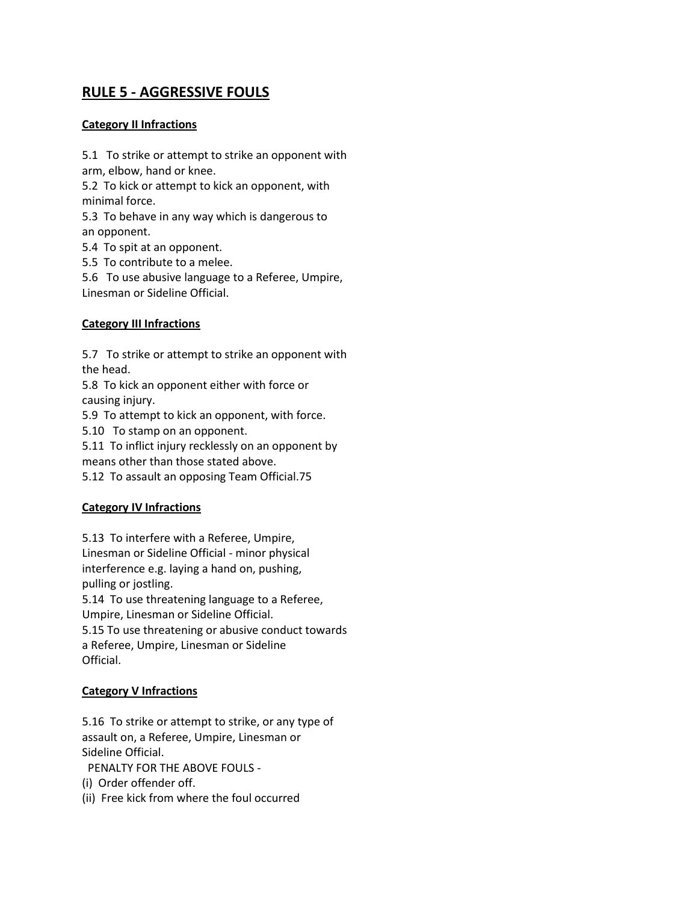# **RULE 5 - AGGRESSIVE FOULS**

## **Category II Infractions**

5.1 To strike or attempt to strike an opponent with arm, elbow, hand or knee.

5.2 To kick or attempt to kick an opponent, with minimal force.

5.3 To behave in any way which is dangerous to an opponent.

5.4 To spit at an opponent.

5.5 To contribute to a melee.

5.6 To use abusive language to a Referee, Umpire, Linesman or Sideline Official.

## **Category III Infractions**

5.7 To strike or attempt to strike an opponent with the head.

5.8 To kick an opponent either with force or causing injury.

5.9 To attempt to kick an opponent, with force.

5.10 To stamp on an opponent.

5.11 To inflict injury recklessly on an opponent by means other than those stated above.

5.12 To assault an opposing Team Official.75

# **Category IV Infractions**

5.13 To interfere with a Referee, Umpire, Linesman or Sideline Official - minor physical interference e.g. laying a hand on, pushing, pulling or jostling.

5.14 To use threatening language to a Referee, Umpire, Linesman or Sideline Official.

5.15 To use threatening or abusive conduct towards a Referee, Umpire, Linesman or Sideline Official.

## **Category V Infractions**

5.16 To strike or attempt to strike, or any type of assault on, a Referee, Umpire, Linesman or Sideline Official.

PENALTY FOR THE ABOVE FOULS -

(i) Order offender off.

(ii) Free kick from where the foul occurred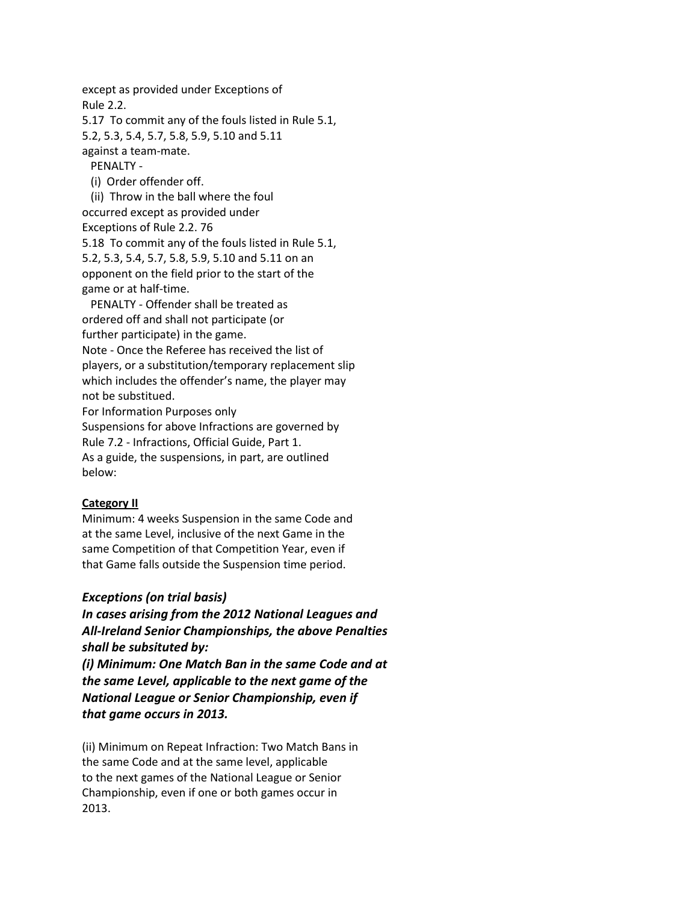except as provided under Exceptions of Rule 2.2.

5.17 To commit any of the fouls listed in Rule 5.1, 5.2, 5.3, 5.4, 5.7, 5.8, 5.9, 5.10 and 5.11 against a team-mate.

PENALTY -

(i) Order offender off.

 (ii) Throw in the ball where the foul occurred except as provided under Exceptions of Rule 2.2. 76 5.18 To commit any of the fouls listed in Rule 5.1, 5.2, 5.3, 5.4, 5.7, 5.8, 5.9, 5.10 and 5.11 on an opponent on the field prior to the start of the game or at half-time.

 PENALTY - Offender shall be treated as ordered off and shall not participate (or further participate) in the game. Note - Once the Referee has received the list of players, or a substitution/temporary replacement slip which includes the offender's name, the player may not be substitued.

For Information Purposes only

Suspensions for above Infractions are governed by

Rule 7.2 - Infractions, Official Guide, Part 1.

As a guide, the suspensions, in part, are outlined below:

## **Category II**

Minimum: 4 weeks Suspension in the same Code and at the same Level, inclusive of the next Game in the same Competition of that Competition Year, even if that Game falls outside the Suspension time period.

## *Exceptions (on trial basis)*

*In cases arising from the 2012 National Leagues and All-Ireland Senior Championships, the above Penalties shall be subsituted by:*

*(i) Minimum: One Match Ban in the same Code and at the same Level, applicable to the next game of the National League or Senior Championship, even if that game occurs in 2013.*

(ii) Minimum on Repeat Infraction: Two Match Bans in the same Code and at the same level, applicable to the next games of the National League or Senior Championship, even if one or both games occur in 2013.